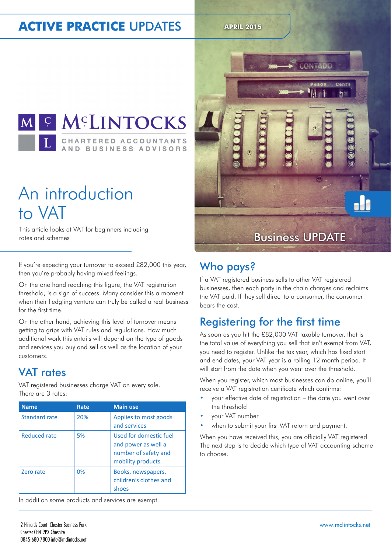#### **ACTIVE PRACTICE UPDATES APRIL 2015**



## An introduction to VAT

This article looks at VAT for beginners including

If you're expecting your turnover to exceed £82,000 this year, then you're probably having mixed feelings.

On the one hand reaching this figure, the VAT registration threshold, is a sign of success. Many consider this a moment when their fledgling venture can truly be called a real business for the first time.

On the other hand, achieving this level of turnover means getting to grips with VAT rules and regulations. How much additional work this entails will depend on the type of goods and services you buy and sell as well as the location of your customers.

#### VAT rates

VAT registered businesses charge VAT on every sale. There are 3 rates:

| <b>Name</b>   | Rate | <b>Main use</b>                                                                             |
|---------------|------|---------------------------------------------------------------------------------------------|
| Standard rate | 20%  | Applies to most goods<br>and services                                                       |
| Reduced rate  | 5%   | Used for domestic fuel<br>and power as well a<br>number of safety and<br>mobility products. |
| Zero rate     | 0%   | Books, newspapers,<br>children's clothes and<br>shoes                                       |

In addition some products and services are exempt.



#### Who pays?

If a VAT registered business sells to other VAT registered businesses, then each party in the chain charges and reclaims the VAT paid. If they sell direct to a consumer, the consumer bears the cost.

#### Registering for the first time

As soon as you hit the £82,000 VAT taxable turnover, that is the total value of everything you sell that isn't exempt from VAT, you need to register. Unlike the tax year, which has fixed start and end dates, your VAT year is a rolling 12 month period. It will start from the date when you went over the threshold.

When you register, which most businesses can do online, you'll receive a VAT registration certificate which confirms:

- your effective date of registration the date you went over the threshold
- your VAT number
- when to submit your first VAT return and payment.

When you have received this, you are officially VAT registered. The next step is to decide which type of VAT accounting scheme to choose.